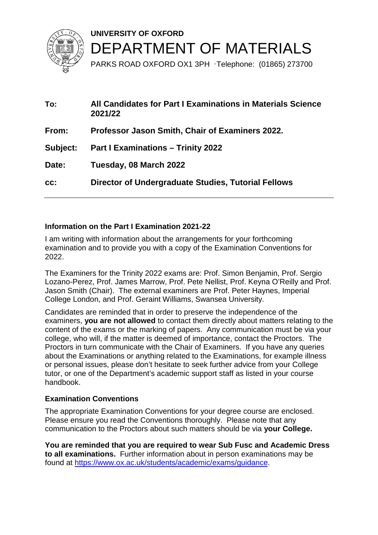

**UNIVERSITY OF OXFORD**  DEPARTMENT OF MATERIALS PARKS ROAD OXFORD OX1 3PH ·Telephone: (01865) 273700

**To: All Candidates for Part I Examinations in Materials Science 2021/22 From: Professor Jason Smith, Chair of Examiners 2022. Subject: Part I Examinations – Trinity 2022 Date: Tuesday, 08 March 2022 cc: Director of Undergraduate Studies, Tutorial Fellows** 

# **Information on the Part I Examination 2021-22**

I am writing with information about the arrangements for your forthcoming examination and to provide you with a copy of the Examination Conventions for 2022.

The Examiners for the Trinity 2022 exams are: Prof. Simon Benjamin, Prof. Sergio Lozano-Perez, Prof. James Marrow, Prof. Pete Nellist, Prof. Keyna O'Reilly and Prof. Jason Smith (Chair). The external examiners are Prof. Peter Haynes, Imperial College London, and Prof. Geraint Williams, Swansea University.

Candidates are reminded that in order to preserve the independence of the examiners, **you are not allowed** to contact them directly about matters relating to the content of the exams or the marking of papers. Any communication must be via your college, who will, if the matter is deemed of importance, contact the Proctors. The Proctors in turn communicate with the Chair of Examiners. If you have any queries about the Examinations or anything related to the Examinations, for example illness or personal issues, please don't hesitate to seek further advice from your College tutor, or one of the Department's academic support staff as listed in your course handbook.

#### **Examination Conventions**

The appropriate Examination Conventions for your degree course are enclosed. Please ensure you read the Conventions thoroughly. Please note that any communication to the Proctors about such matters should be via **your College.** 

**You are reminded that you are required to wear Sub Fusc and Academic Dress to all examinations.** Further information about in person examinations may be found at [https://www.ox.ac.uk/students/academic/exams/guidance.](https://www.ox.ac.uk/students/academic/exams/guidance)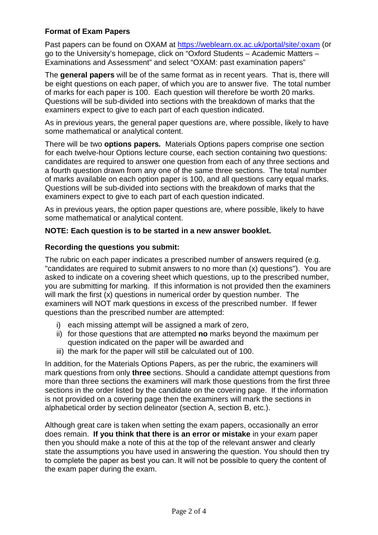### **Format of Exam Papers**

Past papers can be found on OXAM at<https://weblearn.ox.ac.uk/portal/site/:oxam> (or go to the University's homepage, click on "Oxford Students – Academic Matters – Examinations and Assessment" and select "OXAM: past examination papers"

The **general papers** will be of the same format as in recent years. That is, there will be eight questions on each paper, of which you are to answer five. The total number of marks for each paper is 100. Each question will therefore be worth 20 marks. Questions will be sub-divided into sections with the breakdown of marks that the examiners expect to give to each part of each question indicated.

As in previous years, the general paper questions are, where possible, likely to have some mathematical or analytical content.

There will be two **options papers***.* Materials Options papers comprise one section for each twelve-hour Options lecture course, each section containing two questions: candidates are required to answer one question from each of any three sections and a fourth question drawn from any one of the same three sections. The total number of marks available on each option paper is 100, and all questions carry equal marks. Questions will be sub-divided into sections with the breakdown of marks that the examiners expect to give to each part of each question indicated.

As in previous years, the option paper questions are, where possible, likely to have some mathematical or analytical content.

### **NOTE: Each question is to be started in a new answer booklet.**

### **Recording the questions you submit:**

The rubric on each paper indicates a prescribed number of answers required (e.g. "candidates are required to submit answers to no more than (x) questions"). You are asked to indicate on a covering sheet which questions, up to the prescribed number, you are submitting for marking. If this information is not provided then the examiners will mark the first (x) questions in numerical order by question number. The examiners will NOT mark questions in excess of the prescribed number. If fewer questions than the prescribed number are attempted:

- i) each missing attempt will be assigned a mark of zero,
- ii) for those questions that are attempted **no** marks beyond the maximum per question indicated on the paper will be awarded and
- iii) the mark for the paper will still be calculated out of 100.

In addition, for the Materials Options Papers, as per the rubric, the examiners will mark questions from only **three** sections. Should a candidate attempt questions from more than three sections the examiners will mark those questions from the first three sections in the order listed by the candidate on the covering page. If the information is not provided on a covering page then the examiners will mark the sections in alphabetical order by section delineator (section A, section B, etc.).

Although great care is taken when setting the exam papers, occasionally an error does remain. **If you think that there is an error or mistake** in your exam paper then you should make a note of this at the top of the relevant answer and clearly state the assumptions you have used in answering the question. You should then try to complete the paper as best you can. It will not be possible to query the content of the exam paper during the exam.